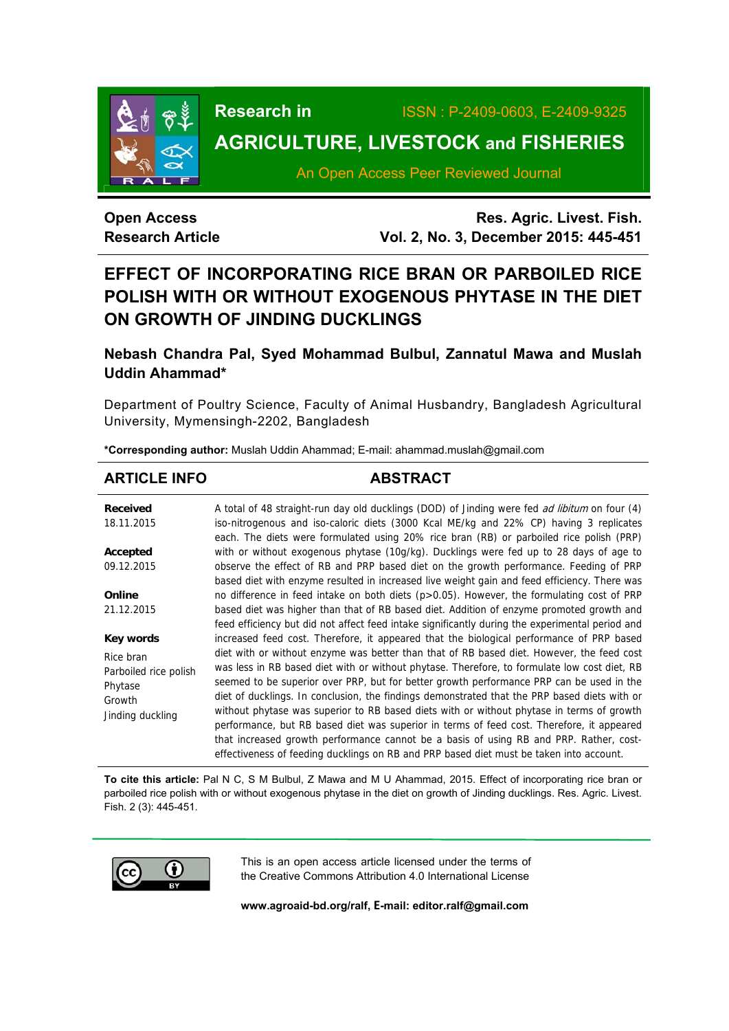

**Research in** ISSN : P-2409-0603, E-2409-9325

# **AGRICULTURE, LIVESTOCK and FISHERIES**

An Open Access Peer Reviewed Journal

# **Open Access Research Article**

**Res. Agric. Livest. Fish. Vol. 2, No. 3, December 2015: 445-451**

# **EFFECT OF INCORPORATING RICE BRAN OR PARBOILED RICE POLISH WITH OR WITHOUT EXOGENOUS PHYTASE IN THE DIET ON GROWTH OF JINDING DUCKLINGS**

# **Nebash Chandra Pal, Syed Mohammad Bulbul, Zannatul Mawa and Muslah Uddin Ahammad\***

Department of Poultry Science, Faculty of Animal Husbandry, Bangladesh Agricultural University, Mymensingh-2202, Bangladesh

**\*Corresponding author:** Muslah Uddin Ahammad; E-mail: ahammad.muslah@gmail.com

# ARTICLE INFO **ABSTRACT**

**Received**  18.11.2015 **Accepted**  09.12.2015 **Online**  21.12.2015 **Key words** Rice bran Parboiled rice polish Phytase Growth Jinding duckling A total of 48 straight-run day old ducklings (DOD) of Jinding were fed *ad libitum* on four (4) iso-nitrogenous and iso-caloric diets (3000 Kcal ME/kg and 22% CP) having 3 replicates each. The diets were formulated using 20% rice bran (RB) or parboiled rice polish (PRP) with or without exogenous phytase (10g/kg). Ducklings were fed up to 28 days of age to observe the effect of RB and PRP based diet on the growth performance. Feeding of PRP based diet with enzyme resulted in increased live weight gain and feed efficiency. There was no difference in feed intake on both diets (p>0.05). However, the formulating cost of PRP based diet was higher than that of RB based diet. Addition of enzyme promoted growth and feed efficiency but did not affect feed intake significantly during the experimental period and increased feed cost. Therefore, it appeared that the biological performance of PRP based diet with or without enzyme was better than that of RB based diet. However, the feed cost was less in RB based diet with or without phytase. Therefore, to formulate low cost diet, RB seemed to be superior over PRP, but for better growth performance PRP can be used in the diet of ducklings. In conclusion, the findings demonstrated that the PRP based diets with or without phytase was superior to RB based diets with or without phytase in terms of growth performance, but RB based diet was superior in terms of feed cost. Therefore, it appeared that increased growth performance cannot be a basis of using RB and PRP. Rather, costeffectiveness of feeding ducklings on RB and PRP based diet must be taken into account.

**To cite this article:** Pal N C, S M Bulbul, Z Mawa and M U Ahammad, 2015. Effect of incorporating rice bran or parboiled rice polish with or without exogenous phytase in the diet on growth of Jinding ducklings. Res. Agric. Livest. Fish. 2 (3): 445-451.



This is an open access article licensed under the terms of the Creative Commons Attribution 4.0 International License

**www.agroaid-bd.org/ralf, E-mail: editor.ralf@gmail.com**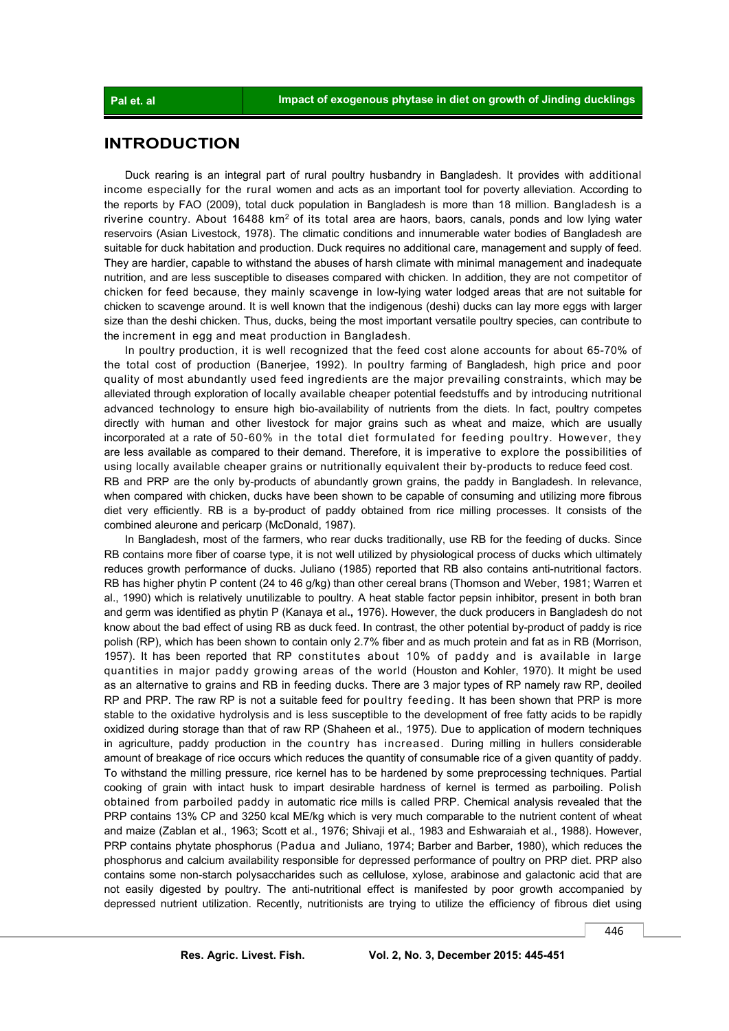## **INTRODUCTION**

 Duck rearing is an integral part of rural poultry husbandry in Bangladesh. It provides with additional income especially for the rural women and acts as an important tool for poverty alleviation. According to the reports by FAO (2009), total duck population in Bangladesh is more than 18 million. Bangladesh is a riverine country. About 16488  $km^2$  of its total area are haors, baors, canals, ponds and low lying water reservoirs (Asian Livestock, 1978). The climatic conditions and innumerable water bodies of Bangladesh are suitable for duck habitation and production. Duck requires no additional care, management and supply of feed. They are hardier, capable to withstand the abuses of harsh climate with minimal management and inadequate nutrition, and are less susceptible to diseases compared with chicken. In addition, they are not competitor of chicken for feed because, they mainly scavenge in low-lying water lodged areas that are not suitable for chicken to scavenge around. It is well known that the indigenous (deshi) ducks can lay more eggs with larger size than the deshi chicken. Thus, ducks, being the most important versatile poultry species, can contribute to the increment in egg and meat production in Bangladesh.

 In poultry production, it is well recognized that the feed cost alone accounts for about 65-70% of the total cost of production (Banerjee, 1992). In poultry farming of Bangladesh, high price and poor quality of most abundantly used feed ingredients are the major prevailing constraints, which may be alleviated through exploration of locally available cheaper potential feedstuffs and by introducing nutritional advanced technology to ensure high bio-availability of nutrients from the diets. In fact, poultry competes directly with human and other livestock for major grains such as wheat and maize, which are usually incorporated at a rate of 50-60% in the total diet formulated for feeding poultry. However, they are less available as compared to their demand. Therefore, it is imperative to explore the possibilities of using locally available cheaper grains or nutritionally equivalent their by-products to reduce feed cost. RB and PRP are the only by-products of abundantly grown grains, the paddy in Bangladesh. In relevance, when compared with chicken, ducks have been shown to be capable of consuming and utilizing more fibrous diet very efficiently. RB is a by-product of paddy obtained from rice milling processes. It consists of the combined aleurone and pericarp (McDonald, 1987).

 In Bangladesh, most of the farmers, who rear ducks traditionally, use RB for the feeding of ducks. Since RB contains more fiber of coarse type, it is not well utilized by physiological process of ducks which ultimately reduces growth performance of ducks. Juliano (1985) reported that RB also contains anti-nutritional factors. RB has higher phytin P content (24 to 46 g/kg) than other cereal brans (Thomson and Weber, 1981; Warren et al., 1990) which is relatively unutilizable to poultry. A heat stable factor pepsin inhibitor, present in both bran and germ was identified as phytin P (Kanaya et al**.,** 1976). However, the duck producers in Bangladesh do not know about the bad effect of using RB as duck feed. In contrast, the other potential by-product of paddy is rice polish (RP), which has been shown to contain only 2.7% fiber and as much protein and fat as in RB (Morrison, 1957). It has been reported that RP constitutes about 10% of paddy and is available in large quantities in major paddy growing areas of the world (Houston and Kohler, 1970). It might be used as an alternative to grains and RB in feeding ducks. There are 3 major types of RP namely raw RP, deoiled RP and PRP. The raw RP is not a suitable feed for poultry feeding. It has been shown that PRP is more stable to the oxidative hydrolysis and is less susceptible to the development of free fatty acids to be rapidly oxidized during storage than that of raw RP (Shaheen et al., 1975). Due to application of modern techniques in agriculture, paddy production in the country has increased. During milling in hullers considerable amount of breakage of rice occurs which reduces the quantity of consumable rice of a given quantity of paddy. To withstand the milling pressure, rice kernel has to be hardened by some preprocessing techniques. Partial cooking of grain with intact husk to impart desirable hardness of kernel is termed as parboiling. Polish obtained from parboiled paddy in automatic rice mills is called PRP. Chemical analysis revealed that the PRP contains 13% CP and 3250 kcal ME/kg which is very much comparable to the nutrient content of wheat and maize (Zablan et al., 1963; Scott et al., 1976; Shivaji et al., 1983 and Eshwaraiah et al., 1988). However, PRP contains phytate phosphorus (Padua and Juliano, 1974; Barber and Barber, 1980), which reduces the phosphorus and calcium availability responsible for depressed performance of poultry on PRP diet. PRP also contains some non-starch polysaccharides such as cellulose, xylose, arabinose and galactonic acid that are not easily digested by poultry. The anti-nutritional effect is manifested by poor growth accompanied by depressed nutrient utilization. Recently, nutritionists are trying to utilize the efficiency of fibrous diet using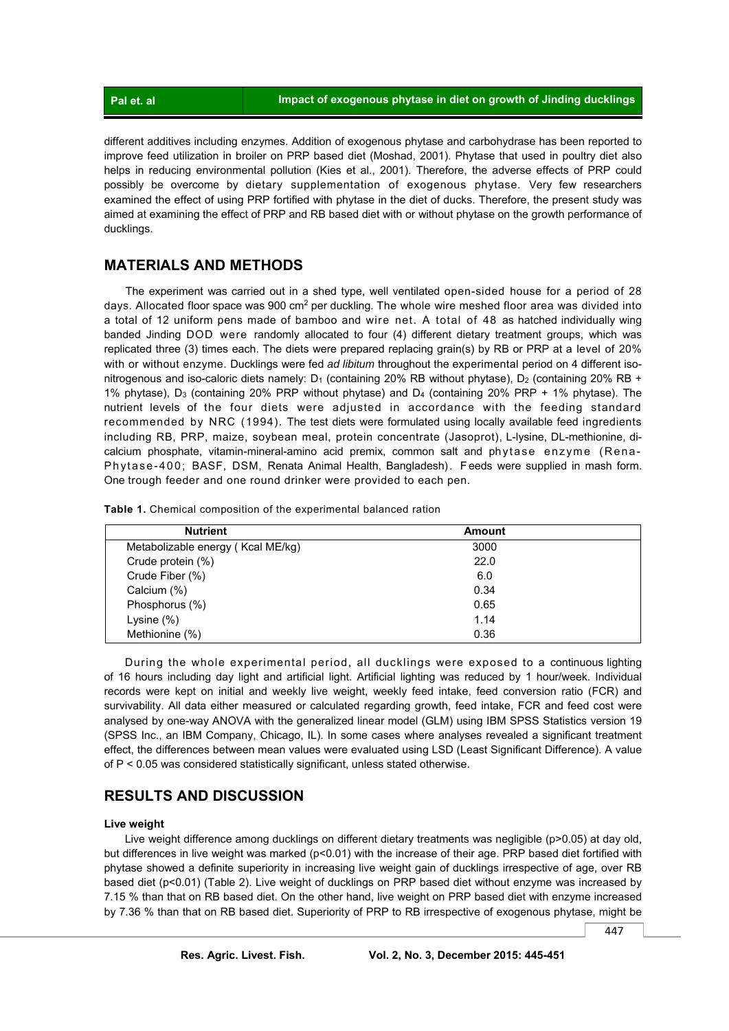different additives including enzymes. Addition of exogenous phytase and carbohydrase has been reported to improve feed utilization in broiler on PRP based diet (Moshad, 2001). Phytase that used in poultry diet also helps in reducing environmental pollution (Kies et al., 2001). Therefore, the adverse effects of PRP could possibly be overcome by dietary supplementation of exogenous phytase. Very few researchers examined the effect of using PRP fortified with phytase in the diet of ducks. Therefore, the present study was aimed at examining the effect of PRP and RB based diet with or without phytase on the growth performance of ducklings.

#### **MATERIALS AND METHODS**

 The experiment was carried out in a shed type, well ventilated open-sided house for a period of 28 days. Allocated floor space was 900 cm<sup>2</sup> per duckling. The whole wire meshed floor area was divided into a total of 12 uniform pens made of bamboo and wire net. A total of 48 as hatched individually wing banded Jinding DOD were randomly allocated to four (4) different dietary treatment groups, which was replicated three (3) times each. The diets were prepared replacing grain(s) by RB or PRP at a level of 20% with or without enzyme. Ducklings were fed *ad libitum* throughout the experimental period on 4 different isonitrogenous and iso-caloric diets namely:  $D_1$  (containing 20% RB without phytase),  $D_2$  (containing 20% RB + 1% phytase), D3 (containing 20% PRP without phytase) and D4 (containing 20% PRP + 1% phytase). The nutrient levels of the four diets were adjusted in accordance with the feeding standard recommended by NRC (1994). The test diets were formulated using locally available feed ingredients including RB, PRP, maize, soybean meal, protein concentrate (Jasoprot), L-lysine, DL-methionine, dicalcium phosphate, vitamin-mineral-amino acid premix, common salt and phytase enzyme (Rena-Phytase-400; BASF, DSM, Renata Animal Health, Bangladesh). F eeds were supplied in mash form. One trough feeder and one round drinker were provided to each pen.

|  |  |  |  | Table 1. Chemical composition of the experimental balanced ration |  |  |
|--|--|--|--|-------------------------------------------------------------------|--|--|
|--|--|--|--|-------------------------------------------------------------------|--|--|

| <b>Nutrient</b>                   | <b>Amount</b> |  |
|-----------------------------------|---------------|--|
| Metabolizable energy (Kcal ME/kg) | 3000          |  |
| Crude protein (%)                 | 22.0          |  |
| Crude Fiber (%)                   | 6.0           |  |
| Calcium (%)                       | 0.34          |  |
| Phosphorus (%)                    | 0.65          |  |
| Lysine $(\%)$                     | 1.14          |  |
| Methionine (%)                    | 0.36          |  |

 During the whole experimental period, all ducklings were exposed to a continuous lighting of 16 hours including day light and artificial light. Artificial lighting was reduced by 1 hour/week. Individual records were kept on initial and weekly live weight, weekly feed intake, feed conversion ratio (FCR) and survivability. All data either measured or calculated regarding growth, feed intake, FCR and feed cost were analysed by one-way ANOVA with the generalized linear model (GLM) using IBM SPSS Statistics version 19 (SPSS Inc., an IBM Company, Chicago, IL). In some cases where analyses revealed a significant treatment effect, the differences between mean values were evaluated using LSD (Least Significant Difference). A value of P < 0.05 was considered statistically significant, unless stated otherwise.

## **RESULTS AND DISCUSSION**

#### **Live weight**

Live weight difference among ducklings on different dietary treatments was negligible (p>0.05) at day old, but differences in live weight was marked (p<0.01) with the increase of their age. PRP based diet fortified with phytase showed a definite superiority in increasing live weight gain of ducklings irrespective of age, over RB based diet (p<0.01) (Table 2). Live weight of ducklings on PRP based diet without enzyme was increased by 7.15 % than that on RB based diet. On the other hand, live weight on PRP based diet with enzyme increased by 7.36 % than that on RB based diet. Superiority of PRP to RB irrespective of exogenous phytase, might be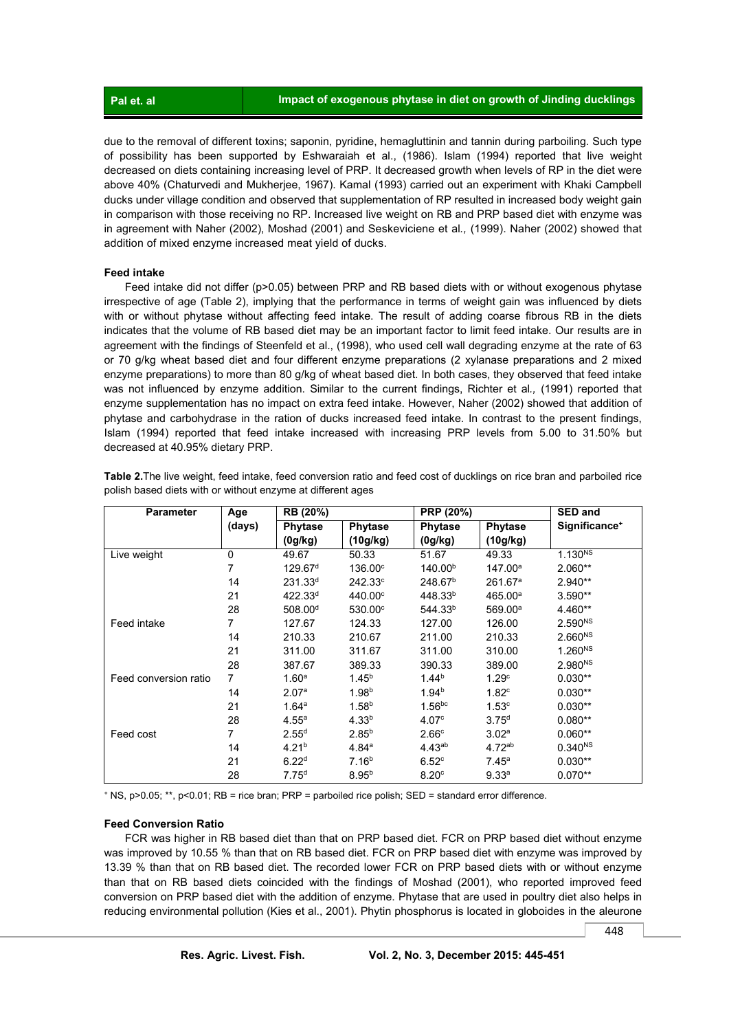due to the removal of different toxins; saponin, pyridine, hemagluttinin and tannin during parboiling. Such type of possibility has been supported by Eshwaraiah et al., (1986). Islam (1994) reported that live weight decreased on diets containing increasing level of PRP. It decreased growth when levels of RP in the diet were above 40% (Chaturvedi and Mukherjee, 1967). Kamal (1993) carried out an experiment with Khaki Campbell ducks under village condition and observed that supplementation of RP resulted in increased body weight gain in comparison with those receiving no RP. Increased live weight on RB and PRP based diet with enzyme was in agreement with Naher (2002), Moshad (2001) and Seskeviciene et al*.,* (1999). Naher (2002) showed that addition of mixed enzyme increased meat yield of ducks.

#### **Feed intake**

 Feed intake did not differ (p>0.05) between PRP and RB based diets with or without exogenous phytase irrespective of age (Table 2), implying that the performance in terms of weight gain was influenced by diets with or without phytase without affecting feed intake. The result of adding coarse fibrous RB in the diets indicates that the volume of RB based diet may be an important factor to limit feed intake. Our results are in agreement with the findings of Steenfeld et al., (1998), who used cell wall degrading enzyme at the rate of 63 or 70 g/kg wheat based diet and four different enzyme preparations (2 xylanase preparations and 2 mixed enzyme preparations) to more than 80 g/kg of wheat based diet. In both cases, they observed that feed intake was not influenced by enzyme addition. Similar to the current findings, Richter et al*.,* (1991) reported that enzyme supplementation has no impact on extra feed intake. However, Naher (2002) showed that addition of phytase and carbohydrase in the ration of ducks increased feed intake. In contrast to the present findings, Islam (1994) reported that feed intake increased with increasing PRP levels from 5.00 to 31.50% but decreased at 40.95% dietary PRP.

| <b>Parameter</b>      | Age    | RB (20%)            |                   | PRP (20%)           |                     | <b>SED and</b>            |
|-----------------------|--------|---------------------|-------------------|---------------------|---------------------|---------------------------|
|                       | (days) | <b>Phytase</b>      | <b>Phytase</b>    | <b>Phytase</b>      | <b>Phytase</b>      | Significance <sup>+</sup> |
|                       |        | (0g/kg)             | (10g/kg)          | (0g/kg)             | (10g/kg)            |                           |
| Live weight           | 0      | 49.67               | 50.33             | 51.67               | 49.33               | 1.130 <sup>NS</sup>       |
|                       | 7      | 129.67 <sup>d</sup> | $136.00^\circ$    | 140.00 <sup>b</sup> | 147.00 <sup>a</sup> | $2.060**$                 |
|                       | 14     | $231.33^{d}$        | $242.33^{\circ}$  | 248.67 <sup>b</sup> | 261.67 <sup>a</sup> | $2.940**$                 |
|                       | 21     | $422.33^{d}$        | $440.00^\circ$    | 448.33 <sup>b</sup> | 465.00a             | 3.590**                   |
|                       | 28     | 508.00 <sup>d</sup> | $530.00^{\circ}$  | 544.33 <sup>b</sup> | 569.00 <sup>a</sup> | 4.460**                   |
| Feed intake           | 7      | 127.67              | 124.33            | 127.00              | 126.00              | 2.590 <sup>NS</sup>       |
|                       | 14     | 210.33              | 210.67            | 211.00              | 210.33              | 2.660 <sup>NS</sup>       |
|                       | 21     | 311.00              | 311.67            | 311.00              | 310.00              | 1.260 <sup>NS</sup>       |
|                       | 28     | 387.67              | 389.33            | 390.33              | 389.00              | 2.980 <sup>NS</sup>       |
| Feed conversion ratio | 7      | 1.60 <sup>a</sup>   | $1.45^{b}$        | 1.44 <sup>b</sup>   | 1.29 <sup>c</sup>   | $0.030**$                 |
|                       | 14     | 2.07 <sup>a</sup>   | 1.98 <sup>b</sup> | 1.94 <sup>b</sup>   | 1.82 <sup>c</sup>   | $0.030**$                 |
|                       | 21     | 1.64 <sup>a</sup>   | 1.58 <sup>b</sup> | 1.56 <sup>bc</sup>  | 1.53 <sup>c</sup>   | $0.030**$                 |
|                       | 28     | 4.55 <sup>a</sup>   | 4.33 <sup>b</sup> | 4.07 <sup>c</sup>   | 3.75 <sup>d</sup>   | $0.080**$                 |
| Feed cost             | 7      | 2.55 <sup>d</sup>   | $2.85^{b}$        | 2.66 <sup>c</sup>   | 3.02 <sup>a</sup>   | $0.060**$                 |
|                       | 14     | 4.21 <sup>b</sup>   | 4.84 <sup>a</sup> | $4.43^{ab}$         | $4.72^{ab}$         | $0.340^{NS}$              |
|                       | 21     | 6.22 <sup>d</sup>   | 7.16 <sup>b</sup> | 6.52c               | $7.45^{\circ}$      | $0.030**$                 |
|                       | 28     | 7.75 <sup>d</sup>   | $8.95^{b}$        | 8.20 <sup>c</sup>   | 9.33 <sup>a</sup>   | $0.070**$                 |

**Table 2.**The live weight, feed intake, feed conversion ratio and feed cost of ducklings on rice bran and parboiled rice polish based diets with or without enzyme at different ages

+ NS, p>0.05; \*\*, p<0.01; RB = rice bran; PRP = parboiled rice polish; SED = standard error difference.

#### **Feed Conversion Ratio**

 FCR was higher in RB based diet than that on PRP based diet. FCR on PRP based diet without enzyme was improved by 10.55 % than that on RB based diet. FCR on PRP based diet with enzyme was improved by 13.39 % than that on RB based diet. The recorded lower FCR on PRP based diets with or without enzyme than that on RB based diets coincided with the findings of Moshad (2001), who reported improved feed conversion on PRP based diet with the addition of enzyme. Phytase that are used in poultry diet also helps in reducing environmental pollution (Kies et al., 2001). Phytin phosphorus is located in globoides in the aleurone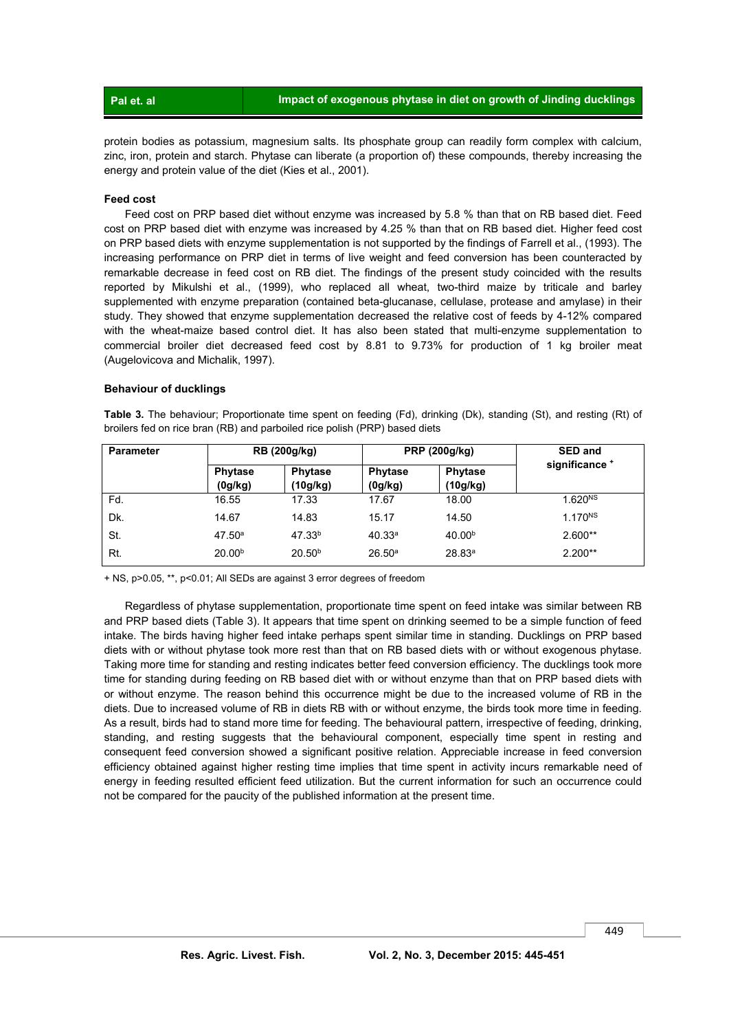| Pallet, a |
|-----------|
|-----------|

protein bodies as potassium, magnesium salts. Its phosphate group can readily form complex with calcium, zinc, iron, protein and starch. Phytase can liberate (a proportion of) these compounds, thereby increasing the energy and protein value of the diet (Kies et al., 2001).

#### **Feed cost**

 Feed cost on PRP based diet without enzyme was increased by 5.8 % than that on RB based diet. Feed cost on PRP based diet with enzyme was increased by 4.25 % than that on RB based diet. Higher feed cost on PRP based diets with enzyme supplementation is not supported by the findings of Farrell et al., (1993). The increasing performance on PRP diet in terms of live weight and feed conversion has been counteracted by remarkable decrease in feed cost on RB diet. The findings of the present study coincided with the results reported by Mikulshi et al., (1999), who replaced all wheat, two-third maize by triticale and barley supplemented with enzyme preparation (contained beta-glucanase, cellulase, protease and amylase) in their study. They showed that enzyme supplementation decreased the relative cost of feeds by 4-12% compared with the wheat-maize based control diet. It has also been stated that multi-enzyme supplementation to commercial broiler diet decreased feed cost by 8.81 to 9.73% for production of 1 kg broiler meat (Augelovicova and Michalik, 1997).

#### **Behaviour of ducklings**

**Table 3.** The behaviour; Proportionate time spent on feeding (Fd), drinking (Dk), standing (St), and resting (Rt) of broilers fed on rice bran (RB) and parboiled rice polish (PRP) based diets

| <b>Parameter</b> | <b>RB</b> (200g/kg)       |                            |                           | PRP (200g/kg)              | <b>SED and</b>      |  |
|------------------|---------------------------|----------------------------|---------------------------|----------------------------|---------------------|--|
|                  | <b>Phytase</b><br>(0g/kg) | <b>Phytase</b><br>(10g/kg) | <b>Phytase</b><br>(0g/kg) | <b>Phytase</b><br>(10g/kg) | significance +      |  |
| Fd.              | 16.55                     | 17.33                      | 17.67                     | 18.00                      | 1.620 <sup>NS</sup> |  |
| Dk.              | 14.67                     | 14.83                      | 15.17                     | 14.50                      | $1.170^{NS}$        |  |
| St.              | 47.50 <sup>a</sup>        | 47.33 <sup>b</sup>         | 40.33a                    | 40.00 <sup>b</sup>         | $2.600**$           |  |
| Rt.              | 20.00 <sup>b</sup>        | 20.50 <sup>b</sup>         | 26.50 <sup>a</sup>        | 28.83 <sup>a</sup>         | $2.200**$           |  |

+ NS, p>0.05, \*\*, p<0.01; All SEDs are against 3 error degrees of freedom

 Regardless of phytase supplementation, proportionate time spent on feed intake was similar between RB and PRP based diets (Table 3). It appears that time spent on drinking seemed to be a simple function of feed intake. The birds having higher feed intake perhaps spent similar time in standing. Ducklings on PRP based diets with or without phytase took more rest than that on RB based diets with or without exogenous phytase. Taking more time for standing and resting indicates better feed conversion efficiency. The ducklings took more time for standing during feeding on RB based diet with or without enzyme than that on PRP based diets with or without enzyme. The reason behind this occurrence might be due to the increased volume of RB in the diets. Due to increased volume of RB in diets RB with or without enzyme, the birds took more time in feeding. As a result, birds had to stand more time for feeding. The behavioural pattern, irrespective of feeding, drinking, standing, and resting suggests that the behavioural component, especially time spent in resting and consequent feed conversion showed a significant positive relation. Appreciable increase in feed conversion efficiency obtained against higher resting time implies that time spent in activity incurs remarkable need of energy in feeding resulted efficient feed utilization. But the current information for such an occurrence could not be compared for the paucity of the published information at the present time.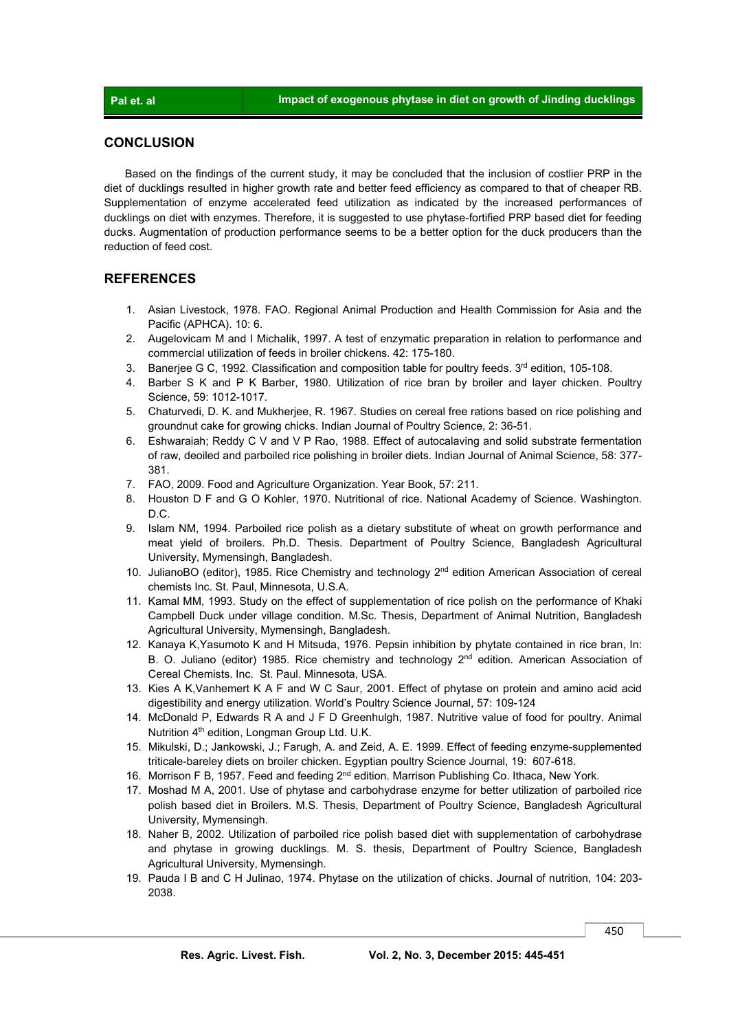#### **CONCLUSION**

 Based on the findings of the current study, it may be concluded that the inclusion of costlier PRP in the diet of ducklings resulted in higher growth rate and better feed efficiency as compared to that of cheaper RB. Supplementation of enzyme accelerated feed utilization as indicated by the increased performances of ducklings on diet with enzymes. Therefore, it is suggested to use phytase-fortified PRP based diet for feeding ducks. Augmentation of production performance seems to be a better option for the duck producers than the reduction of feed cost.

## **REFERENCES**

- 1. Asian Livestock, 1978. FAO. Regional Animal Production and Health Commission for Asia and the Pacific (APHCA). 10: 6.
- 2. Augelovicam M and I Michalik, 1997. A test of enzymatic preparation in relation to performance and commercial utilization of feeds in broiler chickens. 42: 175-180.
- 3. Baneriee G C, 1992. Classification and composition table for poultry feeds.  $3<sup>rd</sup>$  edition, 105-108.
- 4. Barber S K and P K Barber, 1980. Utilization of rice bran by broiler and layer chicken. Poultry Science, 59: 1012-1017.
- 5. Chaturvedi, D. K. and Mukherjee, R. 1967. Studies on cereal free rations based on rice polishing and groundnut cake for growing chicks. Indian Journal of Poultry Science, 2: 36-51.
- 6. Eshwaraiah; Reddy C V and V P Rao, 1988. Effect of autocalaving and solid substrate fermentation of raw, deoiled and parboiled rice polishing in broiler diets. Indian Journal of Animal Science, 58: 377- 381.
- 7. FAO, 2009. Food and Agriculture Organization. Year Book, 57: 211.
- 8. Houston D F and G O Kohler, 1970. Nutritional of rice. National Academy of Science. Washington. D.C.
- 9. Islam NM, 1994. Parboiled rice polish as a dietary substitute of wheat on growth performance and meat yield of broilers. Ph.D. Thesis. Department of Poultry Science, Bangladesh Agricultural University, Mymensingh, Bangladesh.
- 10. JulianoBO (editor), 1985. Rice Chemistry and technology 2<sup>nd</sup> edition American Association of cereal chemists Inc. St. Paul, Minnesota, U.S.A.
- 11. Kamal MM, 1993. Study on the effect of supplementation of rice polish on the performance of Khaki Campbell Duck under village condition. M.Sc. Thesis, Department of Animal Nutrition, Bangladesh Agricultural University, Mymensingh, Bangladesh.
- 12. Kanaya K,Yasumoto K and H Mitsuda, 1976. Pepsin inhibition by phytate contained in rice bran, In: B. O. Juliano (editor) 1985. Rice chemistry and technology 2<sup>nd</sup> edition. American Association of Cereal Chemists. Inc. St. Paul. Minnesota, USA.
- 13. Kies A K,Vanhemert K A F and W C Saur, 2001. Effect of phytase on protein and amino acid acid digestibility and energy utilization. World's Poultry Science Journal, 57: 109-124
- 14. McDonald P, Edwards R A and J F D Greenhulgh, 1987. Nutritive value of food for poultry. Animal Nutrition 4th edition, Longman Group Ltd. U.K.
- 15. Mikulski, D.; Jankowski, J.; Farugh, A. and Zeid, A. E. 1999. Effect of feeding enzyme-supplemented triticale-bareley diets on broiler chicken. Egyptian poultry Science Journal, 19: 607-618.
- 16. Morrison F B, 1957. Feed and feeding 2<sup>nd</sup> edition. Marrison Publishing Co. Ithaca, New York.
- 17. Moshad M A, 2001. Use of phytase and carbohydrase enzyme for better utilization of parboiled rice polish based diet in Broilers. M.S. Thesis, Department of Poultry Science, Bangladesh Agricultural University, Mymensingh.
- 18. Naher B, 2002. Utilization of parboiled rice polish based diet with supplementation of carbohydrase and phytase in growing ducklings. M. S. thesis, Department of Poultry Science, Bangladesh Agricultural University, Mymensingh.
- 19. Pauda I B and C H Julinao, 1974. Phytase on the utilization of chicks. Journal of nutrition, 104: 203- 2038.